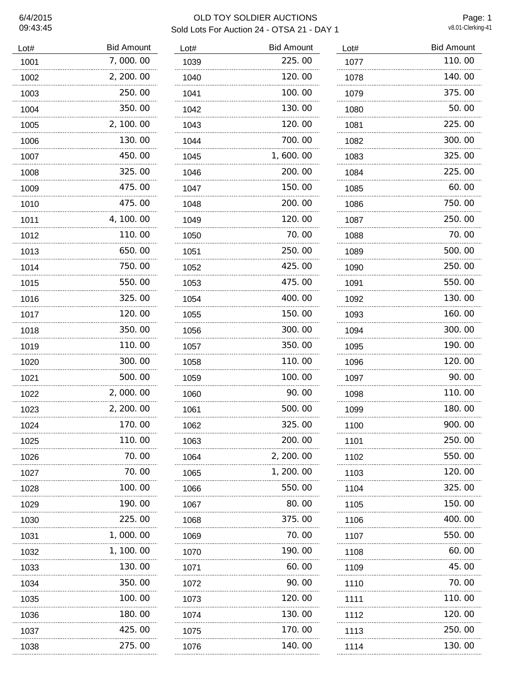# 09:43:45

## 6/4/2015 OLD TOY SOLDIER AUCTIONS Sold Lots For Auction 24 - OTSA 21 - DAY 1

Page: 1<br>v8.01-Clerking-41

| Lot#      | <b>Bid Amount</b> |
|-----------|-------------------|
| 1001      | 7,000.00          |
| 1002      | 2, 200. 00        |
| 1003      | 250.00            |
| 1004      | 350.00            |
| 1005      | 2, 100. 00        |
| 1006      | 130.00            |
| 1007      | 450.00            |
| 1008      | 325.00<br>.       |
| 1009      | 475.00            |
| 1010      | 475.00            |
| 1011      | 4, 100. 00        |
| 1012      | 110.00            |
| 1013      | 650.00            |
| 1014      | 750.00            |
| 1015      | 550.00            |
| 1016      | 325.00            |
| 1017      | 120.00            |
| 1018      | 350.00            |
| 1019      | 110. 00           |
| 1020      | 300.00            |
| 1021      | 500.00            |
| 1022      | 2,000.00          |
| 1023      | 2, 200. 00        |
| 1024      | 170.00            |
| 1025      | 110.00            |
| 1026      | 70.00             |
| 1027      | 70.00<br>         |
| 1028      | 100.00<br>.       |
| 1029      | 190.00<br>.       |
| 1030      | 225.00            |
| 1031      | 1,000.00          |
| 1032<br>. | 1, 100.00         |
| 1033      | 130.00<br>.       |
| 1034      | 350.00<br>.       |
| 1035      | 100.00            |
| 1036      | 180.00            |
| 1037      | 425,00            |
| 1038      | 275.00            |

| Lot#      | <b>Bid Amount</b> |
|-----------|-------------------|
| 1039      | 225.00            |
| 1040      | 120.00            |
| 1041      | 100.00            |
| 1042      | 130.00            |
| 1043      | 120. 00           |
| 1044      | 700.00            |
| 1045      | 1,600.00          |
| 1046      | 200.00            |
| 1047      | 150.00            |
| 1048      | 200.00            |
| 1049      | 120.00            |
| 1050      | 70. 00            |
| 1051      | 250.00            |
| 1052      | 425,00            |
| 1053      | 475.00            |
| 1054      | 400.00            |
| 1055      | 150.00            |
| 1056      | 300.00            |
| 1057      | 350.00            |
| 1058      | 110.00            |
| 1059      | 100.00            |
| 1060      | 90.00             |
| 1061      | 500.00            |
| 1062      | 325.00            |
| 1063      | 200.00<br>.       |
| 1064<br>. | 2, 200. 00        |
| 1065<br>. | 1, 200. 00        |
| 1066      | 550.00            |
| 1067      | 80.00             |
| 1068<br>. | 375.00            |
| 1069      | 70.00<br>.        |
| 1070      | 190.00<br>.       |
| 1071      | 60.00             |
| 1072      | 90.00<br>         |
| 1073      | 120,00<br>.       |
| 1074      | 130.00            |
| 1075      | 170.00            |
| 1076      | 140. 00           |

| Lot#     | <b>Bid Amount</b> |
|----------|-------------------|
| 1077     | 110.00            |
| 1078     | 140.00            |
| 1079     | 375.00            |
| 1080     | 50.00             |
| 1081     | 225.00            |
| 1082     | 300.00            |
| 1083     | 325.00            |
| 1084     | 225.00            |
| 1085     | 60.00             |
| 1086     | 750.00            |
| 1087     | 250.00            |
| 1088     | 70.00             |
| 1089     | 500.00            |
| 1090     | 250.00            |
| 1091     | 550.00            |
| 1092     | 130.00            |
| 1093     | 160.00            |
| 1094     | 300.00            |
| 1095     | 190.00            |
| 1096     | 120.00            |
| 1097     | 90.00             |
| 1098     | 110.00            |
| 1099     | 180.00            |
| 1100     | 900<br>ΩO         |
| 1101     | 250.00            |
| 1102     | 550.00            |
| 1103     | 120.00            |
| 1104     | 325.00<br>        |
| 1105     | 150.00            |
| 1106     | 400.00            |
| 1107<br> | 550.00            |
| 1108     | 60.00             |
| 1109     | 45.00             |
| 1110     | 70.00<br>         |
| 1111     | 110.00            |
| 1112     | 120.00            |
| 1113     | 250.00            |
| 1114     | 130.00            |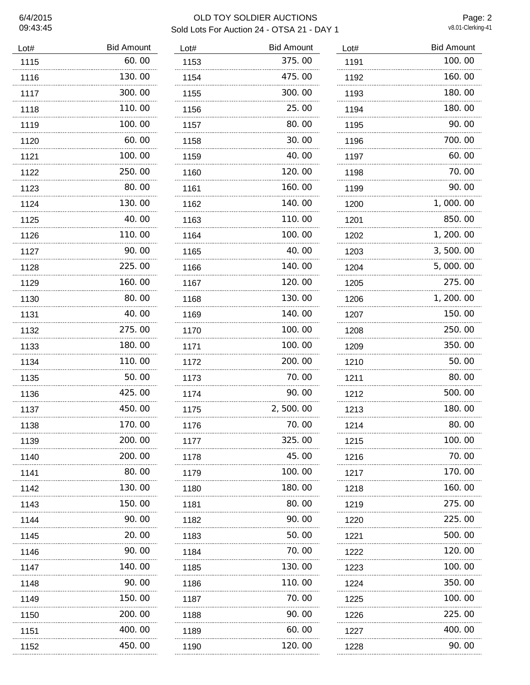# 09:43:45

### 6/4/2015 OLD TOY SOLDIER AUCTIONS Sold Lots For Auction 24 - OTSA 21 - DAY 1

Page: 2<br>v8.01-Clerking-41

| Lot# | <b>Bid Amount</b> | Lot# |
|------|-------------------|------|
| 1115 | 60.00             | 1153 |
| 1116 | 130.00            | 1154 |
| 1117 | 300.00            | 1155 |
| 1118 | 110.00            | 1156 |
| 1119 | 100.00            | 1157 |
| 1120 | 60.00             | 1158 |
| 1121 | 100.00            | 1159 |
| 1122 | 250.00            | 1160 |
| 1123 | 80.00             | 1161 |
| 1124 | 130.00            | 1162 |
| 1125 | 40.00             | 1163 |
| 1126 | 110.00            | 1164 |
| 1127 | 90.00             | 1165 |
| 1128 | 225.00            | 1166 |
| 1129 | 160.00            | 1167 |
| 1130 | 80.00             | 1168 |
| 1131 | 40.00             | 1169 |
| 1132 | 275.00            | 1170 |
| 1133 | 180.00            | 1171 |
| 1134 | 110.00            | 1172 |
| 1135 | 50.00             | 1173 |
| 1136 | 425.00            | 1174 |
| 1137 | 450.00            | 1175 |
| 1138 | 170.00            | 1176 |
| 1139 | 200.00            | 1177 |
| 1140 | 200, 00           | 1178 |
| 1141 | 80.00             | 1179 |
| 1142 | 130.00            | 1180 |
| 1143 | 150.00            | 1181 |
| 1144 | 90.00             | 1182 |
| 1145 | 20.00             | 1183 |
| 1146 | 90.00             | 1184 |
| 1147 | 140.00            | 1185 |
| 1148 | 90.00             | 1186 |
| 1149 | 150.00            | 1187 |
| 1150 | 200.00            | 1188 |
| 1151 | 400.00            | 1189 |
| 1152 | 450.00            | 1190 |

| Lot# | <b>Bid Amount</b> | Lot# |
|------|-------------------|------|
| 1153 | 375.00            | 119  |
| 1154 | 475.00            | 119  |
| 1155 | 300.00            | 119  |
| 1156 | 25.00             | 119  |
| 1157 | 80.00             | 119  |
| 1158 | 30.00             | 119  |
| 1159 | 40.00             | 119  |
| 1160 | 120.00            | 119  |
| 1161 | 160.00            | 119  |
| 1162 | 140.00            | 120  |
| 1163 | 110.00            | 120  |
| 1164 | 100.00            | 120  |
| 1165 | 40.00             | 120  |
| 1166 | 140.00            | 120  |
| 1167 | 120.00            | 120  |
| 1168 | 130.00            | 120  |
| 1169 | 140.00            | 120  |
| 1170 | 100.00            | 120  |
| 1171 | 100.00            | 120  |
| 1172 | 200.00            | 121  |
| 1173 | 70.00             | 121  |
| 1174 | 90.00             | 121  |
| 1175 | 2,500.00          | 121  |
| 1176 | 70.00             | 121  |
| 1177 | 325.00            | 121  |
| 1178 | 45.00<br>         | 121  |
| 1179 | 100.00            | 121  |
| 1180 | 180.00            | 121  |
| 1181 | 80.00             | 121  |
| 1182 | 90.00             | 122  |
| 1183 | 50.00             | 122  |
| 1184 | 70.00             | 122  |
| 1185 | 130.00            | 122  |
| 1186 | 110.00            | 122  |
| 1187 | 70.00             | 122  |
| 1188 | 90.00             | 122  |
| 1189 | 60.00             | 122  |
| 1190 | 120.00            | 122  |
|      |                   |      |

| Lot#     | <b>Bid Amount</b> |  |
|----------|-------------------|--|
| 1191     | 100.00            |  |
| 1192     | 160.00            |  |
| 1193     | 180.00            |  |
| 1194     | 180.00            |  |
| 1195     | 90. 00            |  |
| 1196     | 700.00            |  |
| 1197     | 60. 00            |  |
| 1198     | 70.00             |  |
| 1199     | 90.00             |  |
| 1200     | 1,000.00          |  |
| 1201     | 850.00            |  |
| 1202     | 1, 200. 00        |  |
| 1203     | 3,500.00          |  |
| 1204     | 5,000.00          |  |
| 1205     | 275.00            |  |
| 1206     | 1, 200. 00        |  |
| 1207     | 150.00            |  |
| 1208     | 250.00            |  |
| 1209     | 350.00            |  |
| 1210     | 50.00             |  |
| 1211     | 80.00             |  |
| 1212     | 500.00            |  |
| 1213     | 180. 00           |  |
| 1214     | 80. OO            |  |
| 1215     | 100.00            |  |
| 1216<br> | 70.00             |  |
| 1217     | 170.00            |  |
| 1218<br> | 160.00            |  |
| 1219     | 275.00            |  |
| 1220<br> | 225.00            |  |
| 1221<br> | 500.00            |  |
| 1222<br> | 120.00            |  |
| 1223     | 100.00            |  |
| 1224<br> | 350.00            |  |
| 1225     | 100.00            |  |
| 1226     | 225.00            |  |
| 1227     | 400.00            |  |
| 1228     | 90. 00            |  |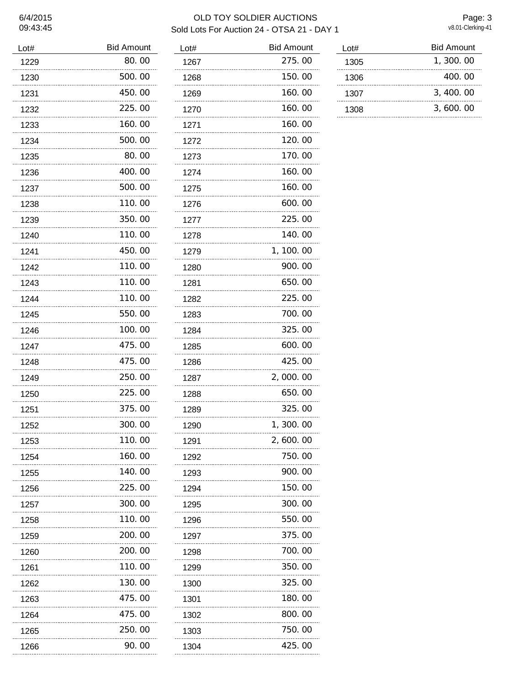# 6/4/2015<br>09:43:45

## OLD TOY SOLDIER AUCTIONS Sold Lots For Auction 24 - OTSA 21 - DAY 1

Page: 3<br>v8.01-Clerking-41

| Lot#      | <b>Bid Amount</b> | Lot |
|-----------|-------------------|-----|
| 1229      | 80.00             | 12  |
| 1230      | 500.00            | 12  |
| 1231      | 450.00            | 12  |
| 1232      | 225.00            | 12  |
| 1233      | 160.00<br>.       | 12  |
| 1234      | 500.00            | 12  |
| 1235      | 80.00             | 12  |
| 1236      | 400.00            | 12  |
| 1237      | 500.00            | 12  |
| 1238      | 110.00            | 12  |
| 1239      | 350.00            | 12  |
| 1240      | 110.00            | 12  |
| 1241      | 450.00            | 12  |
| 1242      | 110.00            | 12  |
| 1243      | 110.00            | 12  |
| 1244      | 110.00            | 12  |
| 1245      | 550.00            | 12  |
| 1246      | 100.00            | 12  |
| 1247      | 475.00            | 12  |
| 1248      | 475.00            | 12  |
| 1249      | 250.00            | 12  |
| 1250      | 225.00            | 12  |
| 1251      | 375.00            | 12  |
| 1252      | 300.00            | 12  |
| 1253      | 110.00            | 12  |
| 1254      | 160.00            | 12  |
| 1255      | 140.00            | 12  |
| 1256      | 225.00            | 12  |
| 1257      | 300.00            | 12  |
| 1258      | 110.00            | 12  |
| 1259      | 200.00<br>        | 12  |
| 1260      | 200.00            | 12  |
| 1261      | 110.00            | 12  |
| 1262      | 130.00            | 13  |
| 1263      | 475.00            | 13  |
| 1264<br>. | 475.00            | 13  |
| 1265      | 250.00<br>.       | 13  |
| 1266      | 90.00             | 13  |

| Lot#      | <b>Bid Amount</b> |
|-----------|-------------------|
| 1267      | 275.00            |
| 1268      | 150.00            |
| 1269      | 160.00            |
| 1270      | 160.00            |
| 1271      | 160.00            |
| 1272      | 120.00            |
| 1273      | 170.00            |
| 1274      | 160.00            |
| 1275      | 160.00            |
| 1276      | 600.00            |
| 1277      | 225.00            |
| 1278      | 140.00            |
| 1279      | 1, 100. 00        |
| 1280      | 900.00            |
| 1281      | 650.00            |
| 1282      | 225.00            |
| 1283      | 700.00            |
| 1284      | 325.00            |
| 1285      | 600.00            |
| 1286      | 425.00            |
| 1287      | 2,000.00          |
| 1288      | 650.00            |
| 1289      | 325.00            |
| 1290      | 1, 300. 00        |
| 1291      | 2,600.00          |
| 1292      | 750.00            |
| 1293<br>. | 900.00            |
| 1294      | 150.00            |
| 1295      | 300.00            |
| 1296      | 550.00            |
| 1297      | 375.00<br>.       |
| 1298      | 700.00            |
| 1299      | 350.00            |
| 1300      | 325.00<br>.       |
| 1301      | 180.00            |
| 1302      | 800.00            |
| 1303      | 750.00            |
| 1304      | 425.00            |

| Lot# | <b>Bid Amount</b> |
|------|-------------------|
| 1305 | 1,300.00          |
| 1306 | 400.00            |
| 1307 | 3, 400.00         |
| 1308 | 3,600.00          |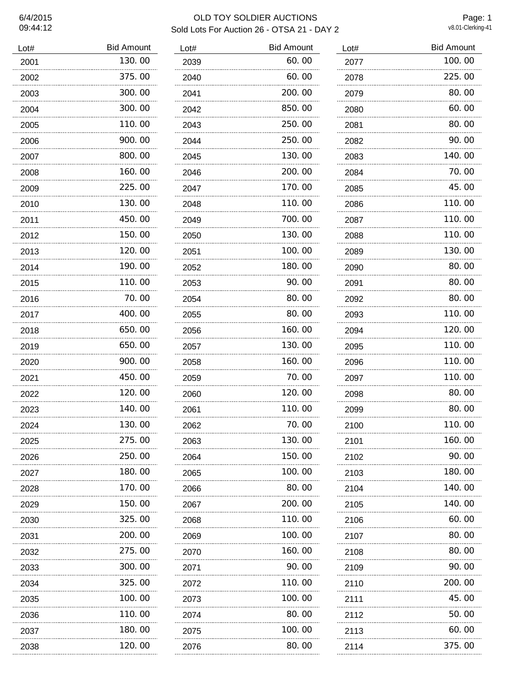# 6/4/2015<br>09:44:12

## OLD TOY SOLDIER AUCTIONS Sold Lots For Auction 26 - OTSA 21 - DAY 2

 $\overline{a}$ 

Page: 1<br>v8.01-Clerking-41

| <b>Bid Amount</b> | L)                            |
|-------------------|-------------------------------|
| 130.00            | 2                             |
| 375.00            | $\overline{c}$                |
| 300.00            | $\overline{c}$                |
| 300.00            | $\overline{c}$                |
| 110.00            | $\overline{\mathbf{c}}$       |
| 900.00            | $\overline{c}$                |
| 800.00            | $\overline{c}$                |
| 160.00            | $\overline{\mathbf{c}}$       |
| 225.00            | $\overline{c}$                |
| 130.00            | $\overline{c}$                |
| 450.00            | 2                             |
| 150.00            | 2                             |
| 120.00            | 2                             |
| 190.00            | 2                             |
| 110.00            | $\overline{c}$                |
| 70.00             | $\overline{\mathbf{c}}$       |
| 400, 00           | $\overline{c}$                |
| 650.00            | $\overline{c}$                |
| 650.00            | $\overline{c}$                |
| 900.00            | 2                             |
| 450.00            | $\overline{c}$                |
| 120.00            | 2                             |
| 140.00            | 2                             |
| 130.00            | $\overline{c}$                |
| 275.00            | $\overline{c}$                |
| 250.00            | $\overline{\mathbf{c}}$       |
| 180.00            | $\overline{\mathbf{c}}$       |
| 170.00            | $\overline{\mathbf{c}}$       |
| 150.00            | $\overline{\mathbf{c}}$       |
| 325.00            | $\frac{2}{\cdot \cdot \cdot}$ |
| 200.00            | $\overline{\mathbf{c}}$       |
| 275.00            | $\overline{c}$                |
| 300.00            | $\overline{c}$                |
| 325.00            | $\overline{c}$                |
| 100.00            | $\overline{c}$                |
| 110.00            | $\overline{c}$                |
| 180.00            | $\overline{\mathbf{c}}$       |
| 120.00            | $\overline{a}$                |
|                   | .<br>                         |

| Lot#      | <b>Bid Amount</b> |
|-----------|-------------------|
| 2039      | 60.00             |
| 2040      | 60.00             |
| 2041      | 200.00            |
| 2042      | 850.00            |
| 2043      | 250.00            |
| 2044      | 250.00            |
| 2045      | 130.00            |
| 2046      | 200.00            |
| 2047      | 170.00            |
| 2048      | 110.00            |
| 2049      | 700.00            |
| 2050      | 130.00            |
| 2051      | 100.00            |
| 2052      | 180.00            |
| 2053      | 90.00             |
| 2054      | 80.00             |
| 2055      | 80.00             |
| 2056      | 160.00            |
| 2057      | 130.00            |
| 2058      | 160.00            |
| 2059      | 70.00             |
| 2060      | 120.00            |
| 2061      | 110.00            |
| 2062      | 70.00             |
| 2063      | 130.00            |
| 2064<br>. | 150.00            |
| 2065      | 100.00            |
| 2066<br>. | 80.00             |
| 2067      | 200.00            |
| 2068      | 110.00            |
| 2069      | 100.00            |
| 2070      | 160.00            |
| 2071      | 90. OO            |
| 2072<br>. | 110.00            |
| 2073      | 100.00            |
| 2074      | 80.00             |
| 2075      | 100.00            |
| 2076      | 80.00             |

| Lot#     | <b>Bid Amount</b> |
|----------|-------------------|
| 2077     | 100.00            |
| 2078     | 225.00            |
| 2079     | 80.00             |
| 2080     | 60.00             |
| 2081     | 80.00             |
| 2082     | 90.00             |
| 2083     | 140.00            |
| 2084     | 70.00             |
| 2085     | 45.00             |
| 2086     | 110.00            |
| 2087     | 110.00            |
| 2088     | 110.00            |
| 2089     | 130.00            |
| 2090     | 80.00             |
| 2091     | 80.00             |
| 2092     | 80.00             |
| 2093     | 110.00            |
| 2094     | 120.00            |
| 2095     | 110.00            |
| 2096     | 110.00            |
| 2097     | 110.00            |
| 2098     | 80.00             |
| 2099     | 80.00             |
| 2100     | 110.00<br>.       |
| 2101     | 160.00            |
| 2102<br> | 90.00             |
| 2103<br> | 180.00            |
| 2104<br> | 140.00            |
| 2105     | 140.00            |
| 2106     | 60.00             |
| 2107     | 80.00             |
| 2108     | 80.00             |
| 2109     | 90.00             |
| 2110     | 200.00            |
| 2111     | 45.00             |
| 2112     | 50.00             |
| 2113     | 60.00             |
| 2114     | 375.00            |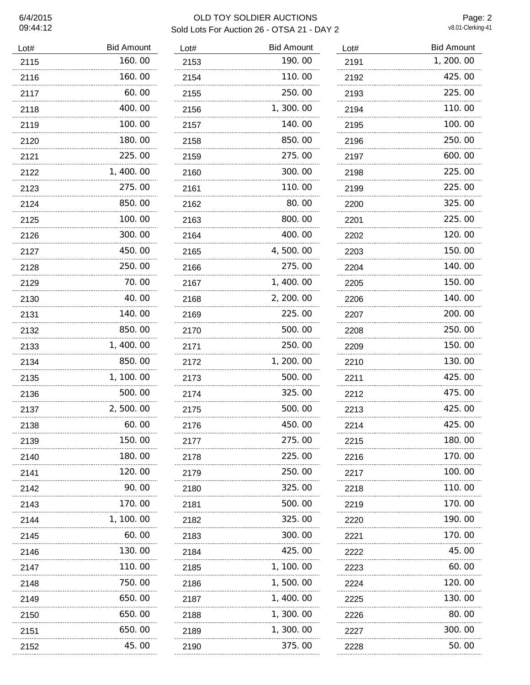## 6/4/2015 OLD TOY SOLDIER AUCTIONS Sold Lots For Auction 26 - OTSA 21 - DAY 2

Page: 2<br>v8.01-Clerking-41

| Lot#      | <b>Bid Amount</b> | Lo                |
|-----------|-------------------|-------------------|
| 2115      | 160.00            | $2^.$             |
| 2116      | 160.00            | 2 <sup>1</sup>    |
| 2117      | 60.00             | $2^{\cdot}$       |
| 2118      | 400.00            | $2^.$             |
| 2119      | 100.00            | $2^{\cdot}$       |
| 2120      | 180.00            | $2^.$             |
| 2121      | 225.00            | $2^.$             |
| 2122      | 1, 400.00         | $2^{\cdot}$       |
| 2123      | 275.00            | $2^{\cdot}$       |
| 2124      | 850.00            | $2^{\cdot}$       |
| 2125      | 100.00            | $2^.$             |
| 2126      | 300.00            | $2^.$             |
| 2127      | 450.00            | $2^.$             |
| 2128      | 250.00            | $2^.$             |
| 2129      | 70.00<br>         | $2^{\cdot}$       |
| 2130      | 40.00             | $2^{\cdot}$       |
| 2131      | 140.00            | $2^.$             |
| 2132      | 850.00            | $2^.$             |
| 2133      | 1,400.00          | $2^{\cdot}$       |
| 2134      | 850.00            | $2^.$             |
| 2135      | 1, 100.00         | $2^{\cdot}$       |
| 2136      | 500.00            | $2^.$             |
| 2137      | 2,500.00          | 2٠                |
| 2138      | 60.00             | $2^.$             |
| 2139      | 150.00            | 2٠                |
| 2140      | 180.00<br>        | $\frac{2}{\cdot}$ |
| 2141      | 120.00<br>        | $2^.$             |
| 2142      | 90.00             | 2 <sup>1</sup>    |
| 2143      | 170.00            | $2^{\cdot}$       |
| 2144      | 1, 100.00         | $\frac{2}{\cdot}$ |
| 2145      | 60.00             | $2^{\circ}$       |
| 2146      | 130.00            | $2^{\prime}$      |
| 2147      | 110.00<br>        | $2^{\circ}$       |
| 2148      | 750.00            | $2^{\cdot}$       |
| 2149      | 650.00            | $2^{\cdot}$       |
| 2150<br>. | 650.00            | $2^{\cdot}$       |
| 2151<br>. | 650.00            | $2^{\cdot}$       |
| 2152      | 45.00             | $2^{\cdot}$       |

| Lot#      | <b>Bid Amount</b> |
|-----------|-------------------|
| 2153      | 190.00            |
| 2154      | 110.00            |
| 2155      | 250.00            |
| 2156      | 1, 300. 00        |
| 2157      | 140.00            |
| 2158      | 850.00            |
| 2159      | 275.00            |
| 2160      | 300.00            |
| 2161      | 110.00            |
| 2162      | 80.00             |
| 2163      | 800.00            |
| 2164      | 400.00            |
| 2165      | 4,500.00          |
| 2166      | 275.00            |
| 2167      | 1, 400.00         |
| 2168      | 2, 200. 00        |
| 2169      | 225.00            |
| 2170      | 500.00            |
| 2171      | 250.00            |
| 2172      | 1, 200. 00        |
| 2173      | 500.00            |
| 2174      | 325.00            |
| 2175      | 500.00            |
| 2176      | 450.00            |
| 2177<br>. | 275.00            |
| 2178      | 225.00            |
| 2179      | 250.00            |
| 2180      | 325.00            |
| 2181      | 500.00            |
| 2182<br>  | 325.00            |
| 2183      | 300.00            |
| 2184      | 425.00            |
| 2185      | 1, 100. 00        |
| 2186      | 1,500.00          |
| 2187      | 1,400.00          |
| 2188      | 1, 300. 00        |
| 2189      | 1, 300. 00        |
| 2190      | 375.00            |

| Lot# | <b>Bid Amount</b> |
|------|-------------------|
| 2191 | 1, 200. 00        |
| 2192 | 425.00            |
| 2193 | 225.00            |
| 2194 | 110. 00           |
| 2195 | 100.00            |
| 2196 | 250.00            |
| 2197 | 600.00            |
| 2198 | 225.00            |
| 2199 | 225.00            |
| 2200 | 325.00            |
| 2201 | 225.00            |
| 2202 | 120.00            |
| 2203 | 150.00            |
| 2204 | 140.00            |
| 2205 | 150.00            |
| 2206 | 140.00            |
| 2207 | 200.00            |
| 2208 | 250.00            |
| 2209 | 150.00            |
| 2210 | 130.00            |
| 2211 | 425,00            |
| 2212 | 475.00            |
| 2213 | 425.00            |
| 2214 | 425.00<br>.       |
| 2215 | 180.00            |
| 2216 | 170.00<br>.       |
| 2217 | 100.00<br>        |
| 2218 | 110.00<br>        |
| 2219 | 170.00            |
| 2220 | 190.00            |
| 2221 | 170.00<br>        |
| 2222 | 45.00             |
| 2223 | 60.00<br>         |
| 2224 | 120.00<br>        |
| 2225 | 130.00            |
| 2226 | 80.00             |
| 2227 | 300.00<br>.       |
| 2228 | 50. 00            |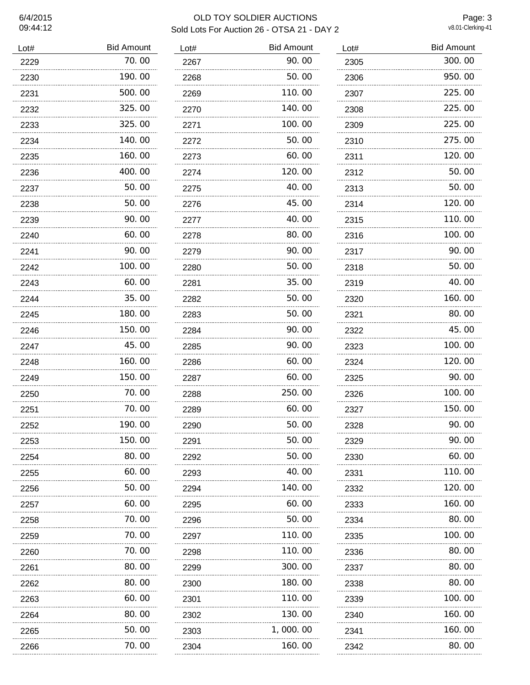# OLD TOY SOLDIER AUCTIONS Sold Lots For Auction 26 - OTSA 21 - DAY 2

Page: 3<br>v8.01-Clerking-41

| Lot# | <b>Bid Amount</b> | Lot# | <b>Bid Amount</b> |
|------|-------------------|------|-------------------|
| 2229 | 70.00             | 2267 | 90.00             |
| 2230 | 190.00            | 2268 | 50.00             |
| 2231 | 500.00            | 2269 | 110.00            |
| 2232 | 325.00            | 2270 | 140.00            |
| 2233 | 325.00            | 2271 | 100.00            |
| 2234 | 140.00            | 2272 | 50.00             |
| 2235 | 160.00            | 2273 | 60.00             |
| 2236 | 400.00            | 2274 | 120.00            |
| 2237 | 50.00             | 2275 | 40.00             |
| 2238 | 50.00             | 2276 | 45.00             |
| 2239 | 90.00             | 2277 | 40.00             |
| 2240 | 60.00             | 2278 | 80.00             |
| 2241 | 90.00             | 2279 | 90.00             |
| 2242 | 100.00            | 2280 | 50.00             |
| 2243 | 60.00             | 2281 | 35.00             |
| 2244 | 35.00             | 2282 | 50.00             |
| 2245 | 180.00            | 2283 | 50.00             |
| 2246 | 150.00            | 2284 | 90.00             |
| 2247 | 45.00             | 2285 | 90.00             |
| 2248 | 160.00            | 2286 | 60.00             |
| 2249 | 150.00            | 2287 | 60.00             |
| 2250 | 70.00             | 2288 | 250.00            |
| 2251 | 70.00             | 2289 | 60.00             |
| 2252 | 190.00            | 2290 | 50.00             |
| 2253 | 150.00            | 2291 | 50.00             |
| 2254 | 80.00             | 2292 | 50.00             |
| 2255 | 60.00             | 2293 | 40. 00            |
| 2256 | 50.00             | 2294 | 140.00            |
| 2257 | 60.00             | 2295 | 60.00             |
| 2258 | 70.00             | 2296 | 50.00             |
| 2259 | 70.00             | 2297 | 110.00            |
| 2260 | 70.00             | 2298 | 110.00            |
| 2261 | 80.00             | 2299 | 300.00            |
| 2262 | 80.00             | 2300 | 180.00            |
| 2263 | 60.00             | 2301 | 110.00            |
| 2264 | 80.00             | 2302 | 130.00            |
| 2265 | 50.00             | 2303 | 1,000.00          |
| 2266 | 70. 00            | 2304 | 160.00            |

| Lot# | <b>Bid Amount</b> |
|------|-------------------|
| 2305 | 300.00            |
| 2306 | 950.00            |
| 2307 | 225.00            |
| 2308 | 225.00            |
| 2309 | 225.00            |
| 2310 | 275.00            |
| 2311 | 120.00            |
| 2312 | 50.00             |
| 2313 | 50.00             |
| 2314 | 120.00            |
| 2315 | 110.00            |
| 2316 | 100. 00           |
| 2317 | 90. 00            |
| 2318 | 50.00             |
| 2319 | 40.00             |
| 2320 | 160.00            |
| 2321 | 80.00             |
| 2322 | 45.00             |
| 2323 | 100, 00           |
| 2324 | 120.00            |
| 2325 | 90. 00            |
| 2326 | 100.00            |
| 2327 | 150.00            |
| 2328 | 90. 00            |
| 2329 | 90.00             |
| 2330 | 60.00             |
| 2331 | 110.00            |
| 2332 | 120.00            |
| 2333 | 160.00            |
| 2334 | 80. 00            |
| 2335 | 100.00            |
| 2336 | 80.00             |
| 2337 | 80.00             |
| 2338 | 80.00<br>.        |
| 2339 | 100, 00           |
| 2340 | 160.00            |
| 2341 | 160.00            |
| 2342 | 80.00<br>.        |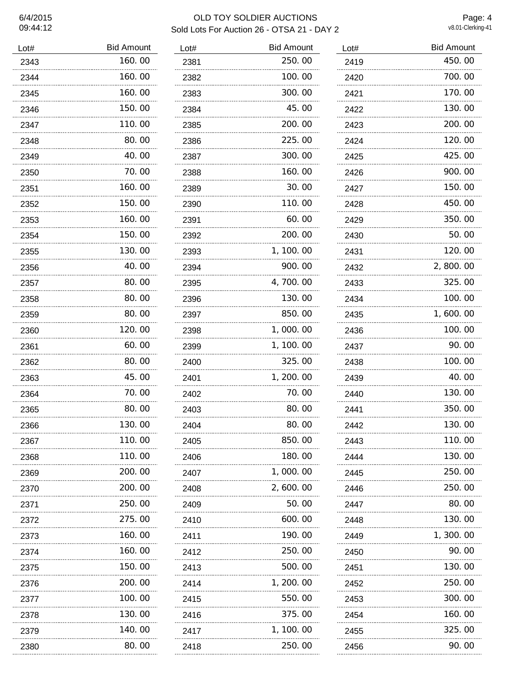### 6/4/2015 OLD TOY SOLDIER AUCTIONS Sold Lots For Auction 26 - OTSA 21 - DAY 2

Page: 4<br>v8.01-Clerking-41

| Lot# | <b>Bid Amount</b> | Lot# | <b>Bid Amount</b> |
|------|-------------------|------|-------------------|
| 2343 | 160.00            | 2381 | 250.00            |
| 2344 | 160.00            | 2382 | 100.00            |
| 2345 | 160.00            | 2383 | 300.00            |
| 2346 | 150.00            | 2384 | 45.00             |
| 2347 | 110.00            | 2385 | 200.00            |
| 2348 | 80.00             | 2386 | 225.00            |
| 2349 | 40.00             | 2387 | 300.00            |
| 2350 | 70.00             | 2388 | 160.00            |
| 2351 | 160.00            | 2389 | 30.00             |
| 2352 | 150.00            | 2390 | 110.00            |
| 2353 | 160.00            | 2391 | 60.00             |
| 2354 | 150.00            | 2392 | 200.00            |
| 2355 | 130.00            | 2393 | 1, 100. 00        |
| 2356 | 40.00             | 2394 | 900.00            |
| 2357 | 80.00             | 2395 | 4,700.00          |
| 2358 | 80.00             | 2396 | 130.00            |
| 2359 | 80.00             | 2397 | 850.00            |
| 2360 | 120.00            | 2398 | 1,000.00          |
| 2361 | 60.00             | 2399 | 1, 100.00         |
| 2362 | 80.00             | 2400 | 325.00            |
| 2363 | 45.00             | 2401 | 1, 200. 00        |
| 2364 | 70.00             | 2402 | 70.00             |
| 2365 | 80.00             | 2403 | 80.00             |
| 2366 | 130.00            | 2404 | 80.00             |
| 2367 | 110.00            | 2405 | 850.00            |
| 2368 | 110.00            | 2406 | 180.00            |
| 2369 | 200.00            | 2407 | 1,000.00          |
| 2370 | 200.00            | 2408 | 2,600.00          |
| 2371 | 250.00            | 2409 | 50.00             |
| 2372 | 275.00            | 2410 | 600.00            |
| 2373 | 160.00            | 2411 | 190.00            |
| 2374 | 160.00            | 2412 | 250.00            |
| 2375 | 150.00            | 2413 | 500.00            |
| 2376 | 200.00            | 2414 | 1, 200. 00        |
| 2377 | 100.00            | 2415 | 550.00            |
| 2378 | 130.00            | 2416 | 375.00            |
| 2379 | 140.00            | 2417 | 1, 100.00         |
| 2380 | 80.00             | 2418 | 250.00            |

| Lot#      | <b>Bid Amount</b> |
|-----------|-------------------|
| 2381      | 250.00            |
| 2382      | 100.00            |
| 2383      | 300.00            |
| 2384      | 45.00             |
| 2385      | 200.00            |
| 2386      | 225.00            |
| 2387      | 300.00            |
| 2388      | 160.00            |
| 2389      | 30.00             |
| 2390      | 110.00            |
| 2391      | 60.00             |
| 2392      | 200.00            |
| 2393      | 1, 100. 00        |
| 2394      | 900.00            |
| 2395      | 4,700.00          |
| 2396      | 130.00            |
| 2397      | 850.00            |
| 2398      | 1,000.00          |
| 2399      | 1, 100. 00        |
| 2400      | 325.00            |
| 2401      | 1, 200. 00        |
| 2402      | 70.00             |
| 2403      | 80.00             |
| 2404      | 80.00             |
| 2405      | 850.00            |
| 2406      | 180.00            |
| 2407      | 1,000.00          |
| 2408<br>. | 2,600.00          |
| 2409<br>. | 50.00             |
| 2410<br>. | 600.00            |
| 2411      | 190.00            |
| 2412      | 250.00            |
| 2413      | 500.00            |
| 2414      | 1, 200. 00        |
| 2415      | 550.00            |
| 2416      | 375.00            |
| 2417      | 1, 100. 00        |
| 2418      | 250.00            |

| Lot# | <b>Bid Amount</b> |
|------|-------------------|
| 2419 | 450.00            |
| 2420 | 700.00            |
| 2421 | 170.00            |
| 2422 | 130.00            |
| 2423 | 200, 00           |
| 2424 | 120.00            |
| 2425 | 425,00            |
| 2426 | 900.00            |
| 2427 | 150.00            |
| 2428 | 450.00            |
| 2429 | 350.00            |
| 2430 | 50.00             |
| 2431 | 120.00            |
| 2432 | 2,800.00          |
| 2433 | 325.00            |
| 2434 | 100.00            |
| 2435 | 1, 600. 00        |
| 2436 | 100.00            |
| 2437 | 90. 00            |
| 2438 | 100.00            |
| 2439 | 40.00             |
| 2440 | 130.00            |
| 2441 | 350.00            |
| 2442 | 130.00<br>.       |
| 2443 | 110.00            |
| 2444 | 130.00            |
| 2445 | 250.00            |
| 2446 | 250.00            |
| 2447 | 80.00<br>         |
| 2448 | 130.00<br>        |
| 2449 | 1,300.00          |
| 2450 | 90.00<br>         |
| 2451 | 130.00            |
| 2452 | 250.00<br>        |
| 2453 | 300.00            |
| 2454 | 160.00            |
| 2455 | 325.00            |
| 2456 | 90.00             |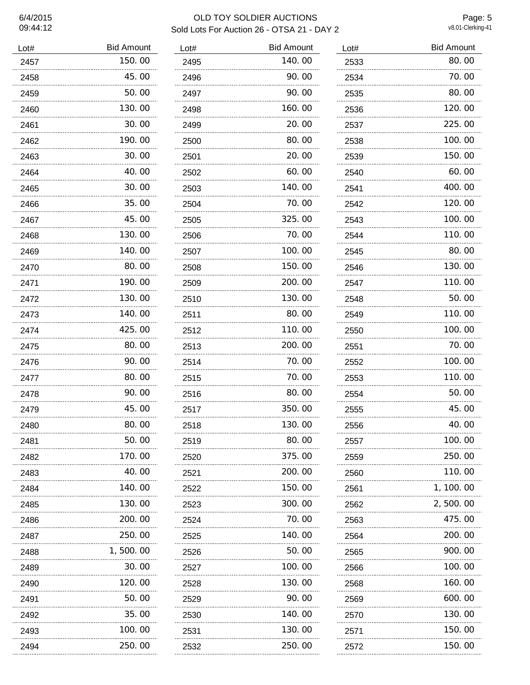### 6/4/2015 OLD TOY SOLDIER AUCTIONS Sold Lots For Auction 26 - OTSA 21 - DAY 2

Page: 5<br>v8.01-Clerking-41

| Lot# | <b>Bid Amount</b> |
|------|-------------------|
| 2457 | 150.00            |
| 2458 | 45.00             |
| 2459 | 50.00             |
| 2460 | 130.00            |
| 2461 | 30.00             |
| 2462 | 190.00            |
| 2463 | 30.00             |
| 2464 | 40.00             |
| 2465 | 30.00             |
| 2466 | 35.00             |
| 2467 | 45.00             |
| 2468 | 130.00            |
| 2469 | 140.00            |
| 2470 | 80.00             |
| 2471 | 190.00            |
| 2472 | 130.00            |
| 2473 | 140.00            |
| 2474 | 425,00            |
| 2475 | 80. 00            |
| 2476 | 90.00             |
| 2477 | 80.00             |
| 2478 | 90. OO            |
| 2479 | 45.00             |
| 2480 | 80. 00            |
| 2481 | 50.00             |
| 2482 | 170.00<br>.       |
| 2483 | 40.00             |
| 2484 | 140.00            |
| 2485 | 130.00            |
| 2486 | 200.00            |
| 2487 | 250.00            |
| 2488 | 1,500.00          |
| 2489 | 30.00             |
| 2490 | 120.00<br>.       |
| 2491 | 50.00<br>.        |
| 2492 | 35.00             |
| 2493 | 100.00            |
| 2494 | 250.00            |

| Lot#      | <b>Bid Amount</b> |
|-----------|-------------------|
| 2495      | 140.00            |
| 2496      | 90.00             |
| 2497      | 90.00             |
| 2498      | 160.00            |
| 2499      | 20.00             |
| 2500      | 80.00             |
| 2501      | 20.00             |
| 2502      | 60.00             |
| 2503      | 140.00            |
| 2504      | 70.00             |
| 2505      | 325.00            |
| 2506      | 70.00             |
| 2507      | 100. 00           |
| 2508      | 150.00            |
| 2509      | 200.00            |
| 2510      | 130.00            |
| 2511      | 80.00             |
| 2512      | 110.00            |
| 2513      | 200.00            |
| 2514      | 70.00             |
| 2515      | 70.00             |
| 2516      | 80.00             |
| 2517      | 350.00            |
| 2518      | 130.00            |
| 2519      | 80.00             |
| 2520<br>. | 375.00            |
| 2521      | 200.00            |
| 2522<br>. | 150.00            |
| 2523      | 300.00            |
| 2524      | 70.00             |
| 2525      | 140.00            |
| 2526      | 50.00             |
| 2527      | 100.00            |
| 2528      | 130.00            |
| 2529      | 90.00             |
| 2530      | 140.00            |
| 2531      | 130.00            |
| 2532      | 250.00            |

| Lot# | <b>Bid Amount</b> |
|------|-------------------|
| 2533 | 80.00             |
| 2534 | 70.00             |
| 2535 | 80. 00            |
| 2536 | 120.00            |
| 2537 | 225.00            |
| 2538 | 100.00            |
| 2539 | 150.00            |
| 2540 | 60.00             |
| 2541 | 400.00            |
| 2542 | 120.00            |
| 2543 | 100.00            |
| 2544 | 110.00            |
| 2545 | 80.00             |
| 2546 | 130.00            |
| 2547 | 110.00            |
| 2548 | 50.00             |
| 2549 | 110.00            |
| 2550 | 100.00            |
| 2551 | 70.00             |
| 2552 | 100.00            |
| 2553 | 110. 00           |
| 2554 | 50. 00            |
| 2555 | 45.00             |
| 2556 | 40.00             |
| 2557 | 100, 00           |
| 2559 | 250.00            |
| 2560 | 110.00            |
| 2561 | 1, 100.00         |
| 2562 | 2,500.00          |
| 2563 | 475.00<br>        |
| 2564 | 200.00            |
| 2565 | 900.00<br>        |
| 2566 | 100.00            |
| 2568 | 160.00<br>        |
| 2569 | 600.00            |
| 2570 | 130.00            |
| 2571 | 150.00<br>.       |
| 2572 | 150. 00           |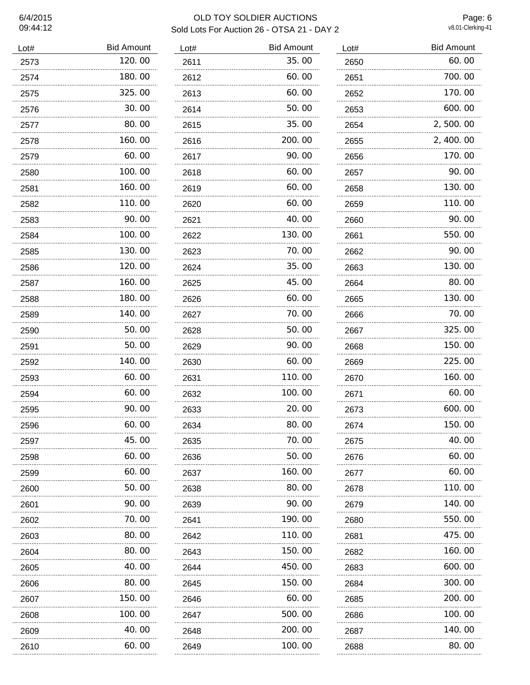#### 6/4/2015 OLD TOY SOLDIER AUCTIONS Sold Lots For Auction 26 - OTSA 21 - DAY 2 v8.01-Clerking-41

Bid Amount

35.00 60.00

 $60.00$ 50.00 35.00

200.00 90.00  $60.00$  $60.00$  $60.00$ 40.00

 130.00 70.00 35.00 45.00  $60.00$ 70.00 50.00

90.00  $60.00$ 110.00

100.00 20.00 80.00 70.00  $50.00$ 160.00

80.00 90.00 190.00

 110.00 150.00 450.00

150.00<br>..............................  $60.00$ 500.00 200.00 100.00

Page: 6

| Lot# | <b>Bid Amount</b> | Lot# |  |
|------|-------------------|------|--|
| 2573 | 120.00            | 2611 |  |
| 2574 | 180.00            | 2612 |  |
| 2575 | 325.00            | 2613 |  |
| 2576 | 30.00             | 2614 |  |
| 2577 | 80.00             | 2615 |  |
| 2578 | 160.00            | 2616 |  |
| 2579 | 60.00             | 2617 |  |
| 2580 | 100.00            | 2618 |  |
| 2581 | 160.00            | 2619 |  |
| 2582 | 110.00            | 2620 |  |
| 2583 | 90.00             | 2621 |  |
| 2584 | 100.00            | 2622 |  |
| 2585 | 130.00            | 2623 |  |
| 2586 | 120.00            | 2624 |  |
| 2587 | 160.00            | 2625 |  |
| 2588 | 180. 00           | 2626 |  |
| 2589 | 140.00            | 2627 |  |
| 2590 | 50.00             | 2628 |  |
| 2591 | 50.00             | 2629 |  |
| 2592 | 140. 00           | 2630 |  |
| 2593 | 60.00             | 2631 |  |
| 2594 | 60.00             | 2632 |  |
| 2595 | 90.00             | 2633 |  |
| 2596 | 60.00             | 2634 |  |
| 2597 | 45.00             | 2635 |  |
| 2598 | 60.00             | 2636 |  |
| 2599 | 60.00             | 2637 |  |
| 2600 | 50.00             | 2638 |  |
| 2601 | 90.00             | 2639 |  |
| 2602 | 70.00             | 2641 |  |
| 2603 | 80.00             | 2642 |  |
| 2604 | 80.00             | 2643 |  |
| 2605 | 40.00             | 2644 |  |
| 2606 | 80.00             | 2645 |  |
| 2607 | 150.00            | 2646 |  |
| 2608 | 100.00            | 2647 |  |
| 2609 | 40.00             | 2648 |  |
| 2610 | 60.00             | 2649 |  |

| Lot# | <b>Bid Amount</b> |
|------|-------------------|
| 2650 | 60.00             |
| 2651 | 700.00            |
| 2652 | 170.00            |
| 2653 | 600.00            |
| 2654 | 2,500.00          |
| 2655 | 2, 400.00         |
| 2656 | 170.00            |
| 2657 | 90.00             |
| 2658 | 130.00            |
| 2659 | 110.00            |
| 2660 | 90.00             |
| 2661 | 550.00            |
| 2662 | 90.00             |
| 2663 | 130.00            |
| 2664 | 80. 00            |
| 2665 | 130.00            |
| 2666 | 70. 00            |
| 2667 | 325.00            |
| 2668 | 150.00            |
| 2669 | 225.00            |
| 2670 | 160.00            |
| 2671 | 60.00             |
| 2673 | 600.00            |
| 2674 | 150.00            |
| 2675 | 40.00<br>.        |
| 2676 | 60.00             |
| 2677 | 60.00             |
| 2678 | 110.00            |
| 2679 | 140.00<br>.       |
| 2680 | 550.00<br>.       |
| 2681 | 475.00<br>.       |
| 2682 | 160.00            |
| 2683 | 600.00            |
| 2684 | 300.00            |
| 2685 | 200.00            |
| 2686 | 100. 00           |
| 2687 | 140. 00           |
| 2688 | 80. OO            |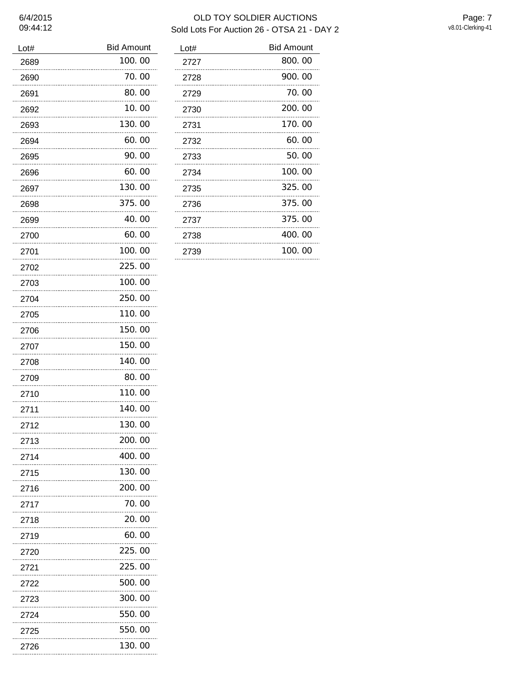# OLD TOY SOLDIER AUCTIONS Sold Lots For Auction 26 - OTSA 21 - DAY 2

Page: 7<br>v8.01-Clerking-41

| Lot#      | <b>Bid Amount</b> |
|-----------|-------------------|
| 2689      | 100.00            |
| 2690      | 70. 00            |
| 2691      | 80.00             |
| 2692      | 10. 00            |
| 2693      | 130.00            |
| 2694      | 60.00             |
| 2695      | 90.00             |
| 2696      | 60.00             |
| 2697      | 130.00            |
| 2698      | 375.00            |
| 2699      | 40.00             |
| 2700      | 60.00             |
| 2701      | 100.00            |
| 2702      | 225.00            |
| 2703      | 100.00            |
| 2704      | 250.00            |
| 2705      | 110.00            |
| 2706      | 150. 00           |
| 2707      | 150.00            |
| 2708      | 140.00            |
| 2709      | 80.00             |
| 2710      | 110.00            |
| 2711      | 140.00            |
| 2712      | 130. 00           |
| 2713      | 200.00            |
| 2714      | 400, 00<br>.      |
| 2715<br>. | 130.00            |
| 2716      | 200, 00           |
| 2717      | 70.00             |
| 2718      | 20.00             |
| 2719      | 60.00             |
| 2720      | 225.00            |
| 2721      | 225.00            |
| 2722      | 500, 00           |
| 2723      | 300.00            |
| 2724      | 550.00            |
| 2725      | 550.00            |
| 2726      | 130.00            |

| Lot# | <b>Bid Amount</b> |
|------|-------------------|
| 2727 | 800.00            |
| 2728 | 900.00            |
| 2729 | 70.00             |
| 2730 | 200, 00           |
| 2731 | 170.00            |
| 2732 | 60.00             |
| 2733 | 50.00             |
| 2734 | 100.00            |
| 2735 | 325,00            |
| 2736 | 375.00            |
| 2737 | 375.00            |
| 2738 | 400, 00           |
| 2739 | 100.00            |
|      |                   |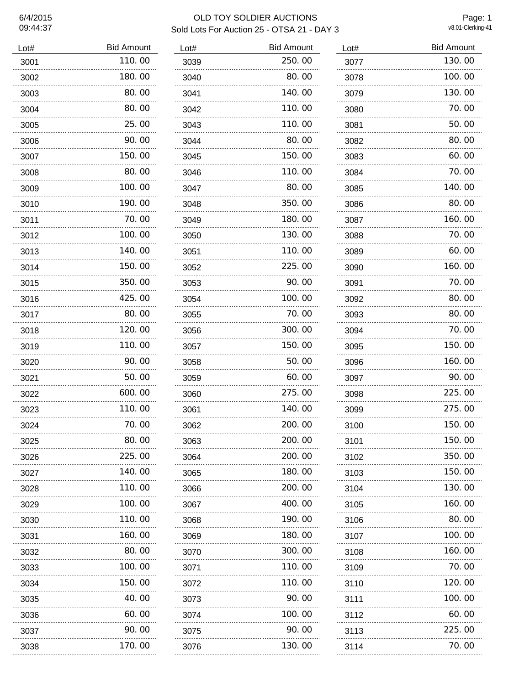# 09:44:37

## 6/4/2015 OLD TOY SOLDIER AUCTIONS Sold Lots For Auction 25 - OTSA 21 - DAY 3

 $\overline{\phantom{a}}$ 

Page: 1<br>v8.01-Clerking-41

| Lot#      | <b>Bid Amount</b> |
|-----------|-------------------|
| 3001      | 110.00            |
| 3002      | 180.00            |
| 3003      | 80.00             |
| 3004      | 80.00             |
| 3005      | 25.00             |
| 3006      | 90.00             |
| 3007      | 150.00            |
| 3008      | 80.00             |
| 3009<br>. | 100.00            |
| 3010      | 190.00            |
| 3011<br>. | 70.00             |
| 3012      | 100.00            |
| 3013      | 140.00            |
| 3014      | 150.00            |
| 3015      | 350.00            |
| 3016      | 425.00            |
| 3017      | 80.00             |
| 3018      | 120.00            |
| 3019      | 110.00            |
| 3020      | 90.00             |
| 3021      | 50.00             |
| 3022      | 600.00            |
| 3023      | 110. 00           |
| 3024      | 70. 00            |
| 3025      | 80.00             |
| 3026      | 225,00            |
| 3027      | 140.00            |
| 3028      | 110.00            |
| 3029      | 100.00            |
| 3030      | 110.00            |
| 3031      | 160.00            |
| 3032      | 80.00             |
| 3033<br>. | 100.00            |
| 3034      | 150.00            |
| 3035<br>. | 40.00             |
| 3036      | 60.00             |
| 3037      | 90.00             |
| 3038      | 170.00            |

| Lot#      | <b>Bid Amount</b> |
|-----------|-------------------|
| 3039      | 250.00            |
| 3040      | 80.00             |
| 3041      | 140.00            |
| 3042      | 110.00            |
| 3043      | 110.00            |
| 3044      | 80.00             |
| 3045      | 150.00            |
| 3046      | 110.00            |
| 3047      | 80.00             |
| 3048      | 350.00            |
| 3049      | 180.00            |
| 3050      | 130.00            |
| 3051      | 110.00            |
| 3052      | 225.00            |
| 3053      | 90. OO            |
| 3054      | 100.00            |
| 3055      | 70. 00            |
| 3056      | 300.00            |
| 3057      | 150.00            |
| 3058      | 50.00             |
| 3059      | 60.00             |
| 3060      | 275.00            |
| 3061      | 140.00            |
| 3062      | 200.00            |
| 3063      | 200.00            |
| 3064<br>. | 200.00            |
| 3065<br>. | 180.00            |
| 3066      | 200.00            |
| 3067      | 400.00            |
| 3068      | 190.00            |
| 3069      | 180.00            |
| 3070      | 300.00            |
| 3071      | 110.00            |
| 3072      | 110.00            |
| 3073      | 90. 00            |
| 3074      | 100.00            |
| 3075      | 90. 00            |
| 3076      | 130.00            |

| Lot#                                           | <b>Bid Amount</b> |
|------------------------------------------------|-------------------|
| 3077                                           | 130.00            |
| 3078                                           | 100.00            |
| 3079                                           | 130.00            |
| 3080<br>                                       | 70.00             |
| 3081                                           | 50.00             |
| 3082                                           | 80.00             |
| 3083<br>.                                      | 60.00             |
| 3084                                           | 70.00             |
| 3085<br>.                                      | 140.00            |
| 3086                                           | 80.00             |
| 3087                                           | 160.00            |
| 3088<br>.                                      | 70. 00            |
| 3089<br>.                                      | 60.00             |
| 3090                                           | 160.00            |
| 3091                                           | 70. 00            |
| 3092                                           | 80.00             |
| 3093                                           | 80.00             |
| 3094                                           | 70.00             |
| 3095                                           | 150. 00           |
| 3096                                           | 160.00            |
| 3097                                           | 90.00             |
| 3098                                           | 225.00            |
| 3099                                           | 275.00            |
| 3100                                           | 150.00            |
| 3101<br>                                       | 150.00            |
| 3102<br>-------------------------------------- | 350.00            |
| 3103                                           | 150.00            |
| 3104                                           | 130.00            |
| 3105<br>                                       | 160.00            |
| 3106                                           | 80.00             |
| 3107                                           | 100.00            |
| 3108<br>                                       | 160.00            |
| 3109                                           | 70.00             |
| ------------------------------------<br>3110   | 120.00            |
| 3111                                           | 100.00            |
| 3112                                           | 60.00             |
| 3113                                           | 225.00            |
| 3114                                           | 70.00             |

70.00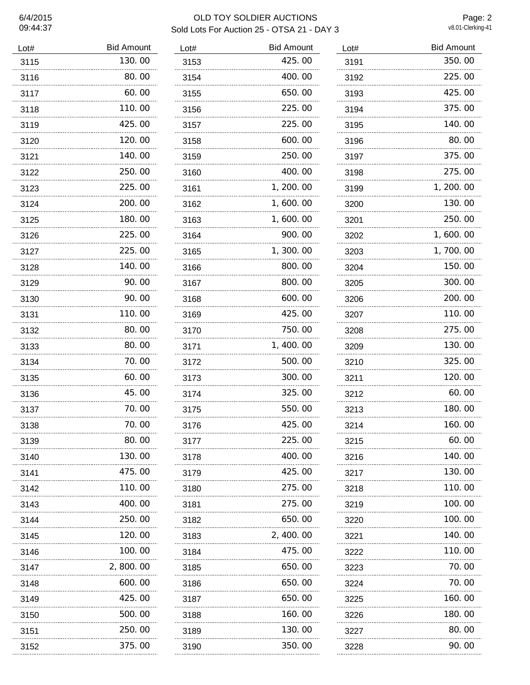#### 6/4/2015 OLD TOY SOLDIER AUCTIONS Sold Lots For Auction 25 - OTSA 21 - DAY 3 v8.01-Clerking-41

Page: 2

| Lot# | <b>Bid Amount</b> | Lot# | <b>Bid Amount</b> |
|------|-------------------|------|-------------------|
| 3115 | 130.00            | 3153 | 425.00            |
| 3116 | 80.00             | 3154 | 400.00            |
| 3117 | 60.00             | 3155 | 650.00            |
| 3118 | 110.00            | 3156 | 225.00            |
| 3119 | 425,00            | 3157 | 225.00            |
| 3120 | 120.00            | 3158 | 600.00            |
| 3121 | 140.00            | 3159 | 250.00            |
| 3122 | 250.00            | 3160 | 400.00            |
| 3123 | 225.00            | 3161 | 1, 200. 00        |
| 3124 | 200.00            | 3162 | 1,600.00          |
| 3125 | 180.00            | 3163 | 1,600.00          |
| 3126 | 225.00            | 3164 | 900.00            |
| 3127 | 225.00            | 3165 | 1,300.00          |
| 3128 | 140.00            | 3166 | 800.00            |
| 3129 | 90.00             | 3167 | 800.00            |
| 3130 | 90. OO            | 3168 | 600.00            |
| 3131 | 110.00            | 3169 | 425.00            |
| 3132 | 80.00             | 3170 | 750.00            |
| 3133 | 80.00             | 3171 | 1, 400.00         |
| 3134 | 70.00             | 3172 | 500.00            |
| 3135 | 60.00             | 3173 | 300.00            |
| 3136 | 45.00             | 3174 | 325.00            |
| 3137 | 70.00             | 3175 | 550.00            |
| 3138 | 70.00             | 3176 | 425.00            |
| 3139 | 80.00             | 3177 | 225.00            |
| 3140 | 130.00            | 3178 | 400.00            |
| 3141 | 475.00            | 3179 | 425.00            |
| 3142 | 110.00            | 3180 | 275.00            |
| 3143 | 400.00            | 3181 | 275.00            |
| 3144 | 250.00            | 3182 | 650.00            |
| 3145 | 120.00            | 3183 | 2, 400.00         |
| 3146 | 100.00            | 3184 | 475.00            |
| 3147 | 2, 800. 00        | 3185 | 650.00            |
| 3148 | 600.00            | 3186 | 650.00            |
| 3149 | 425.00            | 3187 | 650.00            |
| 3150 | 500.00            | 3188 | 160.00            |
| 3151 | 250.00            | 3189 | 130.00            |
| 3152 | 375.00            | 3190 | 350.00            |

| Lot# | <b>Bid Amount</b> |  |  |
|------|-------------------|--|--|
| 3191 | 350.00            |  |  |
| 3192 | 225.00            |  |  |
| 3193 | 425.00            |  |  |
| 3194 | 375.00            |  |  |
| 3195 | 140.00            |  |  |
| 3196 | 80.00             |  |  |
| 3197 | 375.00            |  |  |
| 3198 | 275.00            |  |  |
| 3199 | 1, 200. 00        |  |  |
| 3200 | 130.00            |  |  |
| 3201 | 250.00            |  |  |
| 3202 | 1, 600. 00<br>.   |  |  |
| 3203 | 1,700.00          |  |  |
| 3204 | 150.00            |  |  |
| 3205 | 300.00            |  |  |
| 3206 | 200.00            |  |  |
| 3207 | 110.00            |  |  |
| 3208 | 275.00            |  |  |
| 3209 | 130.00            |  |  |
| 3210 | 325.00            |  |  |
| 3211 | 120.00            |  |  |
| 3212 | 60.00             |  |  |
| 3213 | 180. 00           |  |  |
| 3214 | 160.00            |  |  |
| 3215 | 60.00             |  |  |
| 3216 | 140.00<br>        |  |  |
| 3217 | 130.00            |  |  |
| 3218 | 110.00<br>.       |  |  |
| 3219 | 100, 00           |  |  |
| 3220 | 100.00            |  |  |
| 3221 | 140.00            |  |  |
| 3222 | 110.00<br>.       |  |  |
| 3223 | 70.00             |  |  |
| 3224 | 70.00<br>         |  |  |
| 3225 | 160.00            |  |  |
| 3226 | 180.00            |  |  |
| 3227 | 80.00             |  |  |
| 3228 | 90.00             |  |  |

90.00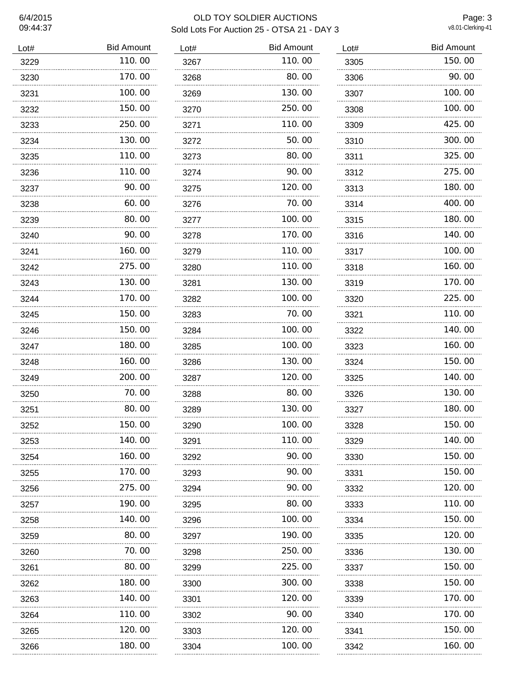## 6/4/2015 OLD TOY SOLDIER AUCTIONS Sold Lots For Auction 25 - OTSA 21 - DAY 3

Page: 3<br>v8.01-Clerking-41

| Lot# | <b>Bid Amount</b> | Lot# | <b>Bid Amount</b> |
|------|-------------------|------|-------------------|
| 3229 | 110.00            | 3267 | 110.00            |
| 3230 | 170.00            | 3268 | 80.00             |
| 3231 | 100.00            | 3269 | 130.00            |
| 3232 | 150.00            | 3270 | 250.00            |
| 3233 | 250.00            | 3271 | 110.00            |
| 3234 | 130.00            | 3272 | 50.00             |
| 3235 | 110.00            | 3273 | 80.00             |
| 3236 | 110.00            | 3274 | 90.00             |
| 3237 | 90.00             | 3275 | 120.00            |
| 3238 | 60.00             | 3276 | 70.00             |
| 3239 | 80.00             | 3277 | 100.00            |
| 3240 | 90.00             | 3278 | 170.00            |
| 3241 | 160.00            | 3279 | 110.00            |
| 3242 | 275.00            | 3280 | 110.00            |
| 3243 | 130.00            | 3281 | 130.00            |
| 3244 | 170. 00           | 3282 | 100.00            |
| 3245 | 150.00            | 3283 | 70.00             |
| 3246 | 150.00            | 3284 | 100.00            |
| 3247 | 180.00            | 3285 | 100.00            |
| 3248 | 160. 00           | 3286 | 130.00            |
| 3249 | 200.00            | 3287 | 120.00            |
| 3250 | 70. 00            | 3288 | 80.00             |
| 3251 | 80.00             | 3289 | 130.00            |
| 3252 | 150.00            | 3290 | 100.00            |
| 3253 | 140.00            | 3291 | 110.00            |
| 3254 | 160. 00           | 3292 | 90.00             |
| 3255 | 170. 00           | 3293 | 90.00             |
| 3256 | 275.00            | 3294 | 90.00             |
| 3257 | 190.00            | 3295 | 80.00             |
| 3258 | 140.00            | 3296 | 100.00            |
| 3259 | 80.00             | 3297 | 190.00            |
| 3260 | 70.00             | 3298 | 250.00            |
| 3261 | 80.00             | 3299 | 225.00            |
| 3262 | 180.00            | 3300 | 300.00            |
| 3263 | 140.00            | 3301 | 120.00            |
| 3264 | 110.00            | 3302 | 90.00             |
| 3265 | 120. 00           | 3303 | 120.00            |
| 3266 | 180.00            | 3304 | 100.00            |

| Lot# | <b>Bid Amount</b> |
|------|-------------------|
| 3267 | 110.00            |
| 3268 | 80.00<br>         |
| 3269 | 130.00            |
| 3270 | 250.00<br>.       |
| 3271 | 110.00<br>        |
| 3272 | 50.00             |
| 3273 | 80.00             |
| 3274 | 90.00             |
| 3275 | 120.00            |
| 3276 | 70.00             |
| 3277 | 100.00            |
| 3278 | 170.00            |
| 3279 | 110.00            |
| 3280 | 110.00            |
| 3281 | 130.00            |
| 3282 | 100.00            |
| 3283 | 70.00             |
| 3284 | 100.00            |
| 3285 | 100.00            |
| 3286 | 130.00            |
| 3287 | 120.00            |
| 3288 | 80.00             |
| 3289 | 130.00            |
| 3290 | 100.00            |
| 3291 | 110.00            |
| 3292 | 90.00             |
| 3293 | 90.00             |
| 3294 | 90.00<br>         |
| 3295 | 80.00             |
| 3296 | 100.00<br>        |
| 3297 | 190.00<br>        |
| 3298 | 250.00<br>        |
| 3299 | 225.00            |
| 3300 | 300.00            |
| 3301 | 120.00            |
| 3302 | 90.00             |
| 3303 | 120.00            |
| 3304 | 100.00            |

| Lot#     | <b>Bid Amount</b> |
|----------|-------------------|
| 3305     | 150.00            |
| 3306     | 90. 00            |
| 3307     | 100, 00           |
| 3308     | 100.00<br>.       |
| 3309     | 425,00            |
| 3310     | 300.00            |
| 3311     | 325.00            |
| 3312     | 275.00<br>.       |
| 3313     | 180.00            |
| 3314     | 400.00            |
| 3315     | 180.00            |
| 3316     | 140.00            |
| 3317     | 100.00            |
| 3318     | 160.00            |
| 3319     | 170.00            |
| 3320     | 225,00            |
| 3321     | 110.00            |
| 3322     | 140.00            |
| 3323     | 160.00            |
| 3324     | 150. 00           |
| 3325     | 140. 00           |
| 3326     | 130.00            |
| 3327     | 180.00            |
| 3328     | 150.<br>- OO      |
| 3329     | 140.00            |
| 3330     | 150.00<br>        |
| 3331     | 150.00            |
| 3332     | 120.00            |
| 3333     | 110.00<br>        |
| 3334     | 150.00<br>        |
| 3335     | 120.00<br>        |
| 3336     | 130.00            |
| 3337     | 150.00            |
| 3338     | 150.00<br>        |
| 3339     | 170.00            |
| 3340     | 170.00            |
| 3341     | 150.00            |
| 3342<br> | 160.00            |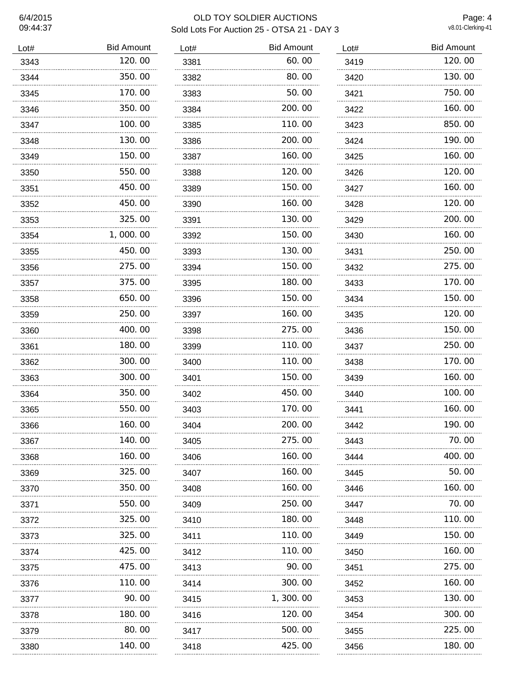# 09:44:37

#### 6/4/2015 OLD TOY SOLDIER AUCTIONS Sold Lots For Auction 25 - OTSA 21 - DAY 3 v8.01-Clerking-41

Page: 4

| Lot# | <b>Bid Amount</b> | Lot# | <b>Bid Amount</b> |
|------|-------------------|------|-------------------|
| 3343 | 120.00            | 3381 | 60.00             |
| 3344 | 350.00            | 3382 | 80.00             |
| 3345 | 170.00            | 3383 | 50.00             |
| 3346 | 350.00            | 3384 | 200.00            |
| 3347 | 100.00            | 3385 | 110.00            |
| 3348 | 130.00            | 3386 | 200.00            |
| 3349 | 150.00            | 3387 | 160.00            |
| 3350 | 550.00            | 3388 | 120.00            |
| 3351 | 450.00            | 3389 | 150.00            |
| 3352 | 450.00            | 3390 | 160.00            |
| 3353 | 325.00            | 3391 | 130.00            |
| 3354 | 1,000.00          | 3392 | 150.00            |
| 3355 | 450.00            | 3393 | 130.00            |
| 3356 | 275.00            | 3394 | 150.00            |
| 3357 | 375.00            | 3395 | 180.00            |
| 3358 | 650.00            | 3396 | 150.00            |
| 3359 | 250.00            | 3397 | 160.00            |
| 3360 | 400.00            | 3398 | 275.00            |
| 3361 | 180.00            | 3399 | 110.00            |
| 3362 | 300.00            | 3400 | 110.00            |
| 3363 | 300.00            | 3401 | 150.00            |
| 3364 | 350.00            | 3402 | 450.00            |
| 3365 | 550.00            | 3403 | 170.00            |
| 3366 | 160.00            | 3404 | 200.00            |
| 3367 | 140.00            | 3405 | 275.00            |
| 3368 | 160.00            | 3406 | 160.00            |
| 3369 | 325.00            | 3407 | 160.00            |
| 3370 | 350.00            | 3408 | 160.00            |
| 3371 | 550.00            | 3409 | 250.00            |
| 3372 | 325.00            | 3410 | 180.00            |
| 3373 | 325.00            | 3411 | 110.00            |
| 3374 | 425.00            | 3412 | 110.00            |
| 3375 | 475.00            | 3413 | 90.00             |
| 3376 | 110.00            | 3414 | 300.00            |
| 3377 | 90.00             | 3415 | 1,300.00          |
| 3378 | 180.00            | 3416 | 120.00            |
| 3379 | 80.00             | 3417 | 500.00            |
| 3380 | 140.00            | 3418 | 425.00            |

| Lot# | <b>Bid Amount</b> |
|------|-------------------|
| 3419 | 120.00            |
| 3420 | 130.00            |
| 3421 | 750.00            |
| 3422 | 160. 00           |
| 3423 | 850.00            |
| 3424 | 190.00            |
| 3425 | 160.00            |
| 3426 | 120.00            |
| 3427 | 160.00            |
| 3428 | 120.00            |
| 3429 | 200, 00           |
| 3430 | 160.00            |
| 3431 | 250.00            |
| 3432 | 275.00            |
| 3433 | 170.00            |
| 3434 | 150.00            |
| 3435 | 120.00            |
| 3436 | 150.00            |
| 3437 | 250.00            |
| 3438 | 170.00            |
| 3439 | 160.00            |
| 3440 | 100, 00           |
| 3441 | 160. 00           |
| 3442 | 190.00            |
| 3443 | 70.00<br>.        |
| 3444 | 400.00            |
| 3445 | 50.00<br>.        |
| 3446 | 160.00            |
| 3447 | 70.00             |
| 3448 | 110.00            |
| 3449 | 150.00<br>.       |
| 3450 | 160.00            |
| 3451 | 275.00            |
| 3452 | 160.00<br>        |
| 3453 | 130.00            |
| 3454 | 300.00            |
| 3455 | 225.00            |
| 3456 | 180.00            |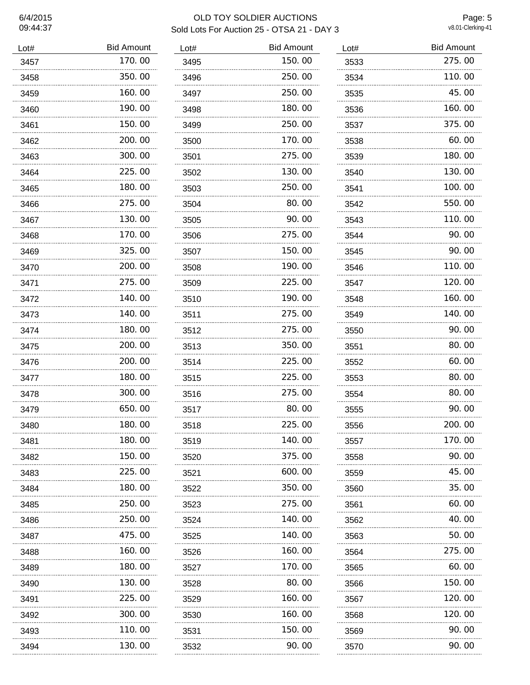# 09:44:37

## 6/4/2015 OLD TOY SOLDIER AUCTIONS Sold Lots For Auction 25 - OTSA 21 - DAY 3

Page: 5<br>v8.01-Clerking-41

| Lot#      | <b>Bid Amount</b> |
|-----------|-------------------|
| 3457      | 170.00            |
| 3458      | 350.00            |
| 3459      | 160.00            |
| 3460      | 190.00            |
| 3461      | 150.00            |
| 3462      | 200.00            |
| 3463      | 300.00            |
| 3464      | 225.00            |
| 3465      | 180.00            |
| 3466      | 275.00            |
| 3467<br>. | 130.00            |
| 3468      | 170.00            |
| 3469      | 325.00            |
| 3470      | 200.00            |
| 3471<br>. | 275.00            |
| 3472      | 140.00            |
| 3473      | 140.00            |
| 3474      | 180.00            |
| 3475      | 200.00            |
| 3476      | 200.00            |
| 3477      | 180.00            |
| 3478      | 300.00            |
| 3479      | 650.00            |
| 3480      | 180.00            |
| 3481      | 180.00            |
| 3482      | 150.00            |
| 3483<br>  | 225.00            |
| 3484      | 180.00            |
| 3485      | 250.00            |
| 3486      | 250.00            |
| 3487      | 475.00            |
| 3488      | 160.00            |
| 3489      | 180.00<br>.       |
| 3490      | 130.00            |
| 3491      | 225.00            |
| 3492      | 300.00            |
| 3493      | 110.00            |
| 3494      | 130.00            |

| Lot#      | <b>Bid Amount</b> |
|-----------|-------------------|
| 3495      | 150.00            |
| 3496      | 250.00            |
| 3497      | 250.00            |
| 3498      | 180.00            |
| 3499      | 250.00            |
| 3500      | 170.00            |
| 3501      | 275.00            |
| 3502      | 130.00            |
| 3503      | 250.00            |
| 3504      | 80.00             |
| 3505      | 90.00             |
| 3506      | 275.00            |
| 3507      | 150.00            |
| 3508      | 190.00            |
| 3509      | 225.00            |
| 3510      | 190.00            |
| 3511      | 275.00            |
| 3512      | 275.00            |
| 3513      | 350.00            |
| 3514      | 225.00            |
| 3515      | 225.00            |
| 3516      | 275.00            |
| 3517      | 80.00             |
| 3518      | 225.00            |
| 3519      | 140.00            |
| 3520      | 375.00            |
| 3521      | 600.00            |
| 3522<br>. | 350.00            |
| 3523      | 275.00            |
| 3524      | 140.00            |
| 3525      | 140.00            |
| 3526      | 160.00            |
| 3527      | 170.00            |
| 3528<br>. | 80.00             |
| 3529      | 160.00            |
| 3530      | 160.00            |
| 3531      | 150.00            |
| 3532      | 90.00             |

| Lot#      | <b>Bid Amount</b> |
|-----------|-------------------|
| 3533      | 275.00            |
| 3534      | 110.00            |
| 3535      | 45.00             |
| 3536      | 160.00            |
| 3537      | 375.00            |
| 3538      | 60.00             |
| 3539      | 180.00            |
| 3540      | 130.00            |
| 3541      | 100, 00           |
| 3542      | 550.00            |
| 3543      | 110.00            |
| 3544      | 90.00<br>.        |
| 3545      | 90.00             |
| 3546      | 110.00            |
| 3547      | 120.00            |
| 3548      | 160.00            |
| 3549      | 140.00            |
| 3550      | 90.00             |
| 3551      | 80.00             |
| 3552      | 60.00             |
| 3553      | 80.00             |
| 3554      | 80.00             |
| 3555      | 90. 00            |
| 3556      | 200.00            |
| 3557<br>. | 170.00            |
| 3558<br>. | 90.00<br>.        |
| 3559      | 45.00             |
| 3560      | 35.00             |
| 3561      | 60.00             |
| 3562      | 40.00             |
| 3563      | 50.00             |
| 3564      | 275.00            |
| 3565      | 60.00             |
| 3566      | 150.00<br>        |
| 3567      | 120.00            |
| 3568      | 120.00            |
| 3569      | 90. 00<br>.       |
| 3570      | 90. OO            |